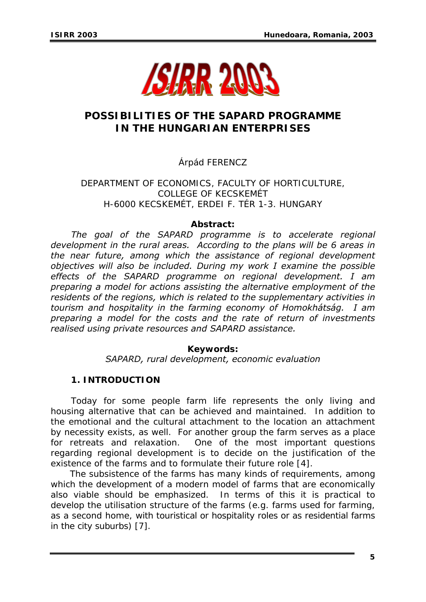

# **POSSIBILITIES OF THE SAPARD PROGRAMME IN THE HUNGARIAN ENTERPRISES**

# Árpád FERENCZ

DEPARTMENT OF ECONOMICS, FACULTY OF HORTICULTURE, COLLEGE OF KECSKEMÉT H-6000 KECSKEMÉT, ERDEI F. TÉR 1-3. HUNGARY

#### *Abstract:*

 *The goal of the SAPARD programme is to accelerate regional development in the rural areas. According to the plans will be 6 areas in the near future, among which the assistance of regional development objectives will also be included. During my work I examine the possible effects of the SAPARD programme on regional development. I am preparing a model for actions assisting the alternative employment of the residents of the regions, which is related to the supplementary activities in tourism and hospitality in the farming economy of Homokhátság. I am preparing a model for the costs and the rate of return of investments realised using private resources and SAPARD assistance.* 

#### *Keywords:*

*SAPARD, rural development, economic evaluation* 

## **1. INTRODUCTION**

 Today for some people farm life represents the only living and housing alternative that can be achieved and maintained. In addition to the emotional and the cultural attachment to the location an attachment by necessity exists, as well. For another group the farm serves as a place for retreats and relaxation. One of the most important questions regarding regional development is to decide on the justification of the existence of the farms and to formulate their future role [4].

 The subsistence of the farms has many kinds of requirements, among which the development of a modern model of farms that are economically also viable should be emphasized. In terms of this it is practical to develop the utilisation structure of the farms (e.g. farms used for farming, as a second home, with touristical or hospitality roles or as residential farms in the city suburbs) [7].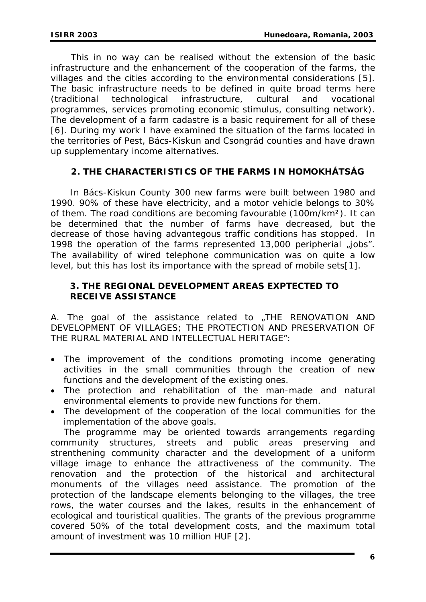This in no way can be realised without the extension of the basic infrastructure and the enhancement of the cooperation of the farms, the villages and the cities according to the environmental considerations [5]. The basic infrastructure needs to be defined in quite broad terms here (traditional technological infrastructure, cultural and vocational programmes, services promoting economic stimulus, consulting network). The development of a farm cadastre is a basic requirement for all of these [6]. During my work I have examined the situation of the farms located in the territories of Pest, Bács-Kiskun and Csongrád counties and have drawn up supplementary income alternatives.

# **2. THE CHARACTERISTICS OF THE FARMS IN HOMOKHÁTSÁG**

 In Bács-Kiskun County 300 new farms were built between 1980 and 1990. 90% of these have electricity, and a motor vehicle belongs to 30% of them. The road conditions are becoming favourable (100m/km²). It can be determined that the number of farms have decreased, but the decrease of those having advantegous traffic conditions has stopped. In 1998 the operation of the farms represented  $13,000$  peripherial  $\mu$ jobs". The availability of wired telephone communication was on quite a low level, but this has lost its importance with the spread of mobile sets[1].

#### **3. THE REGIONAL DEVELOPMENT AREAS EXPTECTED TO RECEIVE ASSISTANCE**

A. The goal of the assistance related to "THE RENOVATION AND DEVELOPMENT OF VILLAGES; THE PROTECTION AND PRESERVATION OF THE RURAL MATERIAL AND INTELLECTUAL HERITAGE":

- The improvement of the conditions promoting income generating activities in the small communities through the creation of new functions and the development of the existing ones.
- The protection and rehabilitation of the man-made and natural environmental elements to provide new functions for them.
- The development of the cooperation of the local communities for the implementation of the above goals.

 The programme may be oriented towards arrangements regarding community structures, streets and public areas preserving and strenthening community character and the development of a uniform village image to enhance the attractiveness of the community. The renovation and the protection of the historical and architectural monuments of the villages need assistance. The promotion of the protection of the landscape elements belonging to the villages, the tree rows, the water courses and the lakes, results in the enhancement of ecological and touristical qualities. The grants of the previous programme covered 50% of the total development costs, and the maximum total amount of investment was 10 million HUF [2].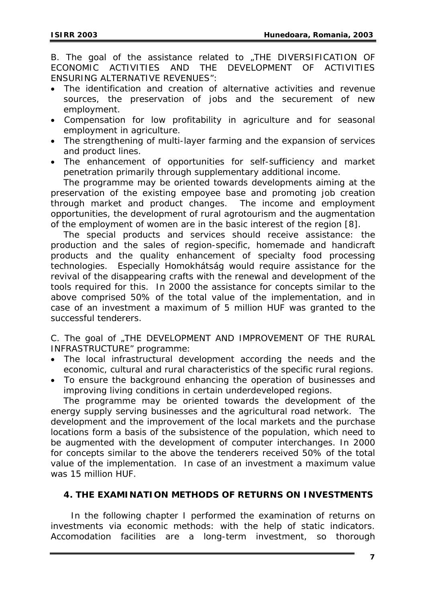B. The goal of the assistance related to "THE DIVERSIFICATION OF ECONOMIC ACTIVITIES AND THE DEVELOPMENT OF ACTIVITIES ENSURING ALTERNATIVE REVENUES":

- The identification and creation of alternative activities and revenue sources, the preservation of jobs and the securement of new employment.
- Compensation for low profitability in agriculture and for seasonal employment in agriculture.
- The strengthening of multi-layer farming and the expansion of services and product lines.
- The enhancement of opportunities for self-sufficiency and market penetration primarily through supplementary additional income.

The programme may be oriented towards developments aiming at the preservation of the existing empoyee base and promoting job creation through market and product changes. The income and employment opportunities, the development of rural agrotourism and the augmentation of the employment of women are in the basic interest of the region [8].

The special products and services should receive assistance: the production and the sales of region-specific, homemade and handicraft products and the quality enhancement of specialty food processing technologies. Especially Homokhátság would require assistance for the revival of the disappearing crafts with the renewal and development of the tools required for this. In 2000 the assistance for concepts similar to the above comprised 50% of the total value of the implementation, and in case of an investment a maximum of 5 million HUF was granted to the successful tenderers.

C. The goal of "THE DEVELOPMENT AND IMPROVEMENT OF THE RURAL INFRASTRUCTURE" programme:

- The local infrastructural development according the needs and the economic, cultural and rural characteristics of the specific rural regions.
- To ensure the background enhancing the operation of businesses and improving living conditions in certain underdeveloped regions.

The programme may be oriented towards the development of the energy supply serving businesses and the agricultural road network. The development and the improvement of the local markets and the purchase locations form a basis of the subsistence of the population, which need to be augmented with the development of computer interchanges. In 2000 for concepts similar to the above the tenderers received 50% of the total value of the implementation. In case of an investment a maximum value was 15 million HUF.

## **4. THE EXAMINATION METHODS OF RETURNS ON INVESTMENTS**

In the following chapter I performed the examination of returns on investments via economic methods: with the help of static indicators. Accomodation facilities are a long-term investment, so thorough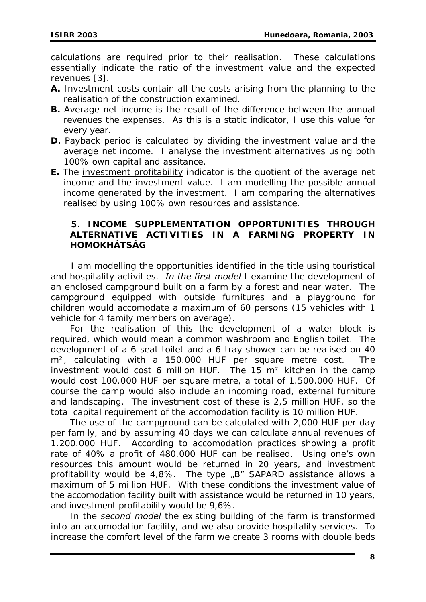calculations are required prior to their realisation. These calculations essentially indicate the ratio of the investment value and the expected revenues [3].

- **A.** Investment costs contain all the costs arising from the planning to the realisation of the construction examined.
- **B.** Average net income is the result of the difference between the annual revenues the expenses. As this is a static indicator, I use this value for every year.
- **D.** Payback period is calculated by dividing the investment value and the average net income. I analyse the investment alternatives using both 100% own capital and assitance.
- **E.** The investment profitability indicator is the quotient of the average net income and the investment value. I am modelling the possible annual income generated by the investment. I am comparing the alternatives realised by using 100% own resources and assistance.

# **5. INCOME SUPPLEMENTATION OPPORTUNITIES THROUGH ALTERNATIVE ACTIVITIES IN A FARMING PROPERTY IN HOMOKHÁTSÁG**

 I am modelling the opportunities identified in the title using touristical and hospitality activities. *In the first model* I examine the development of an enclosed campground built on a farm by a forest and near water. The campground equipped with outside furnitures and a playground for children would accomodate a maximum of 60 persons (15 vehicles with 1 vehicle for 4 family members on average).

 For the realisation of this the development of a water block is required, which would mean a common washroom and English toilet. The development of a 6-seat toilet and a 6-tray shower can be realised on 40 m², calculating with a 150.000 HUF per square metre cost. The investment would cost 6 million HUF. The 15 m² kitchen in the camp would cost 100.000 HUF per square metre, a total of 1.500.000 HUF. Of course the camp would also include an incoming road, external furniture and landscaping. The investment cost of these is 2,5 million HUF, so the total capital requirement of the accomodation facility is 10 million HUF.

 The use of the campground can be calculated with 2,000 HUF per day per family, and by assuming 40 days we can calculate annual revenues of 1.200.000 HUF. According to accomodation practices showing a profit rate of 40% a profit of 480.000 HUF can be realised. Using one's own resources this amount would be returned in 20 years, and investment profitability would be 4,8%. The type "B" SAPARD assistance allows a maximum of 5 million HUF. With these conditions the investment value of the accomodation facility built with assistance would be returned in 10 years, and investment profitability would be 9,6%.

 In the *second model* the existing building of the farm is transformed into an accomodation facility, and we also provide hospitality services. To increase the comfort level of the farm we create 3 rooms with double beds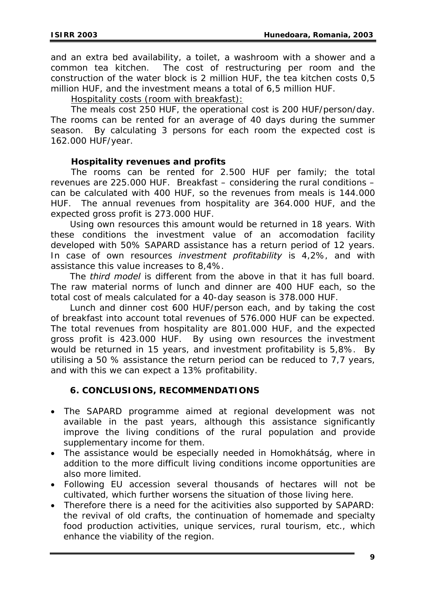and an extra bed availability, a toilet, a washroom with a shower and a common tea kitchen. The cost of restructuring per room and the construction of the water block is 2 million HUF, the tea kitchen costs 0,5 million HUF, and the investment means a total of 6,5 million HUF.

Hospitality costs (room with breakfast):

 The meals cost 250 HUF, the operational cost is 200 HUF/person/day. The rooms can be rented for an average of 40 days during the summer season. By calculating 3 persons for each room the expected cost is 162.000 HUF/year.

#### *Hospitality revenues and profits*

 The rooms can be rented for 2.500 HUF per family; the total revenues are 225.000 HUF. Breakfast – considering the rural conditions – can be calculated with 400 HUF, so the revenues from meals is 144.000 HUF. The annual revenues from hospitality are 364.000 HUF, and the expected gross profit is 273.000 HUF.

 Using own resources this amount would be returned in 18 years. With these conditions the investment value of an accomodation facility developed with 50% SAPARD assistance has a return period of 12 years. In case of own resources *investment profitability* is 4,2%, and with assistance this value increases to 8,4%.

 The *third model* is different from the above in that it has full board. The raw material norms of lunch and dinner are 400 HUF each, so the total cost of meals calculated for a 40-day season is 378.000 HUF.

 Lunch and dinner cost 600 HUF/person each, and by taking the cost of breakfast into account total revenues of 576.000 HUF can be expected. The total revenues from hospitality are 801.000 HUF, and the expected gross profit is 423.000 HUF. By using own resources the investment would be returned in 15 years, and investment profitability is 5,8%. By utilising a 50 % assistance the return period can be reduced to 7,7 years, and with this we can expect a 13% profitability.

## **6. CONCLUSIONS, RECOMMENDATIONS**

- The SAPARD programme aimed at regional development was not available in the past years, although this assistance significantly improve the living conditions of the rural population and provide supplementary income for them.
- The assistance would be especially needed in Homokhátság, where in addition to the more difficult living conditions income opportunities are also more limited.
- Following EU accession several thousands of hectares will not be cultivated, which further worsens the situation of those living here.
- Therefore there is a need for the acitivities also supported by SAPARD: the revival of old crafts, the continuation of homemade and specialty food production activities, unique services, rural tourism, etc., which enhance the viability of the region.